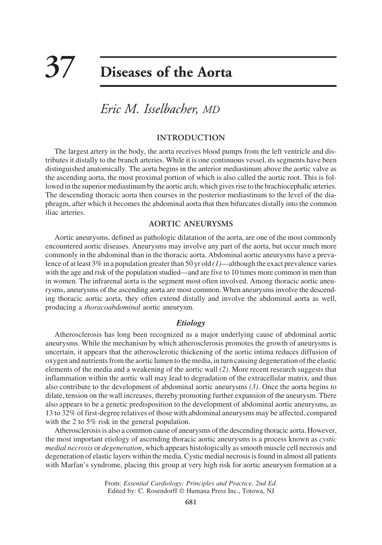# **37 Diseases of the Aorta**

# *Eric M. Isselbacher, MD*

# **INTRODUCTION**

The largest artery in the body, the aorta receives blood pumps from the left ventricle and distributes it distally to the branch arteries. While it is one continuous vessel, its segments have been distinguished anatomically. The aorta begins in the anterior mediastinum above the aortic valve as the ascending aorta, the most proximal portion of which is also called the aortic root. This is followed in the superior mediastinum by the aortic arch, which gives rise to the brachiocephalic arteries. The descending thoracic aorta then courses in the posterior mediastinum to the level of the diaphragm, after which it becomes the abdominal aorta that then bifurcates distally into the common iliac arteries.

# **AORTIC ANEURYSMS**

Aortic aneurysms, defined as pathologic dilatation of the aorta, are one of the most commonly encountered aortic diseases. Aneurysms may involve any part of the aorta, but occur much more commonly in the abdominal than in the thoracic aorta. Abdominal aortic aneurysms have a prevalence of at least 3% in a population greater than 50 yr old  $(I)$ —although the exact prevalence varies with the age and risk of the population studied—and are five to 10 times more common in men than in women. The infrarenal aorta is the segment most often involved. Among thoracic aortic aneurysms, aneurysms of the ascending aorta are most common. When aneurysms involve the descending thoracic aortic aorta, they often extend distally and involve the abdominal aorta as well, producing a thoracoabdominal aortic aneurysm.

# Etiology

Atherosclerosis has long been recognized as a major underlying cause of abdominal aortic aneurysms. While the mechanism by which atherosclerosis promotes the growth of aneurysms is uncertain, it appears that the atherosclerotic thickening of the aortic intima reduces diffusion of oxygen and nutrients from the aortic lumen to the media, in turn causing degeneration of the elastic elements of the media and a weakening of the aortic wall (2). More recent research suggests that inflammation within the aortic wall may lead to degradation of the extracellular matrix, and thus also contribute to the development of abdominal aortic aneurysms (3). Once the aorta begins to dilate, tension on the wall increases, thereby promoting further expansion of the aneurysm. There also appears to be a genetic predisposition to the development of abdominal aortic aneurysms, as 13 to 32% of first-degree relatives of those with abdominal aneurysms may be affected, compared with the 2 to 5% risk in the general population.

Atherosclerosis is also a common cause of aneurysms of the descending thoracic aorta. However, the most important etiology of ascending thoracic aortic aneurysms is a process known as cystic medial necrosis or degeneration, which appears histologically as smooth muscle cell necrosis and degeneration of elastic layers within the media. Cystic medial necrosis is found in almost all patients with Marfan's syndrome, placing this group at very high risk for aortic aneurysm formation at a

> From: Essential Cardiology: Principles and Practice, 2nd Ed. Edited by: C. Rosendorff © Humana Press Inc., Totowa, NJ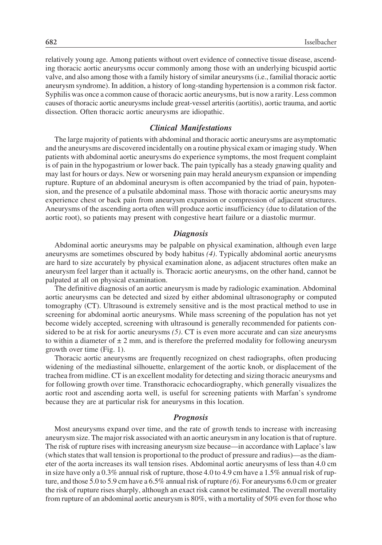relatively young age. Among patients without overt evidence of connective tissue disease, ascending thoracic aortic aneurysms occur commonly among those with an underlying bicuspid aortic valve, and also among those with a family history of similar aneurysms (i.e., familial thoracic aortic aneurysm syndrome). In addition, a history of long-standing hypertension is a common risk factor. Syphilis was once a common cause of thoracic aortic aneurysms, but is now a rarity. Less common causes of thoracic aortic aneurysms include great-vessel arteritis (aortitis), aortic trauma, and aortic dissection. Often thoracic aortic aneurysms are idiopathic.

#### Clinical Manifestations

The large majority of patients with abdominal and thoracic aortic aneurysms are asymptomatic and the aneurysms are discovered incidentally on a routine physical exam or imaging study. When patients with abdominal aortic aneurysms do experience symptoms, the most frequent complaint is of pain in the hypogastrium or lower back. The pain typically has a steady gnawing quality and may last for hours or days. New or worsening pain may herald aneurysm expansion or impending rupture. Rupture of an abdominal aneurysm is often accompanied by the triad of pain, hypotension, and the presence of a pulsatile abdominal mass. Those with thoracic aortic aneurysms may experience chest or back pain from aneurysm expansion or compression of adjacent structures. Aneurysms of the ascending aorta often will produce aortic insufficiency (due to dilatation of the aortic root), so patients may present with congestive heart failure or a diastolic murmur.

#### Diagnosis

Abdominal aortic aneurysms may be palpable on physical examination, although even large aneurysms are sometimes obscured by body habitus (4). Typically abdominal aortic aneurysms are hard to size accurately by physical examination alone, as adjacent structures often make an aneurysm feel larger than it actually is. Thoracic aortic aneurysms, on the other hand, cannot be palpated at all on physical examination.

The definitive diagnosis of an aortic aneurysm is made by radiologic examination. Abdominal aortic aneurysms can be detected and sized by either abdominal ultrasonography or computed tomography (CT). Ultrasound is extremely sensitive and is the most practical method to use in screening for abdominal aortic aneurysms. While mass screening of the population has not yet become widely accepted, screening with ultrasound is generally recommended for patients considered to be at risk for aortic aneurysms  $(5)$ . CT is even more accurate and can size aneurysms to within a diameter of  $\pm 2$  mm, and is therefore the preferred modality for following aneurysm growth over time (Fig. 1).

Thoracic aortic aneurysms are frequently recognized on chest radiographs, often producing widening of the mediastinal silhouette, enlargement of the aortic knob, or displacement of the trachea from midline. CT is an excellent modality for detecting and sizing thoracic aneurysms and for following growth over time. Transthoracic echocardiography, which generally visualizes the aortic root and ascending aorta well, is useful for screening patients with Marfan's syndrome because they are at particular risk for aneurysms in this location.

#### Prognosis

Most aneurysms expand over time, and the rate of growth tends to increase with increasing aneurysm size. The major risk associated with an aortic aneurysm in any location is that of rupture. The risk of rupture rises with increasing aneurysm size because—in accordance with Laplace's law (which states that wall tension is proportional to the product of pressure and radius)—as the diameter of the aorta increases its wall tension rises. Abdominal aortic aneurysms of less than 4.0 cm in size have only a 0.3% annual risk of rupture, those 4.0 to 4.9 cm have a 1.5% annual risk of rupture, and those 5.0 to 5.9 cm have a 6.5% annual risk of rupture (6). For aneurysms 6.0 cm or greater the risk of rupture rises sharply, although an exact risk cannot be estimated. The overall mortality from rupture of an abdominal aortic aneurysm is 80%, with a mortality of 50% even for those who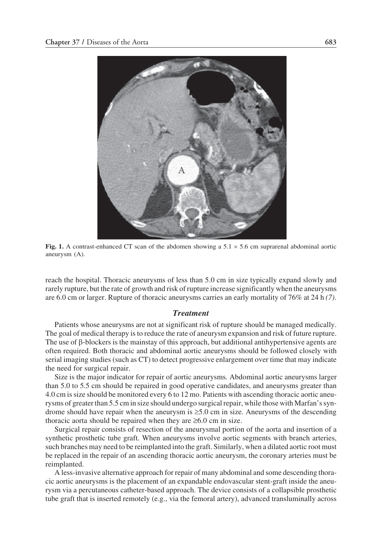

Fig. 1. A contrast-enhanced CT scan of the abdomen showing a  $5.1 \times 5.6$  cm suprarenal abdominal aortic aneurysm (A).

reach the hospital. Thoracic aneurysms of less than 5.0 cm in size typically expand slowly and rarely rupture, but the rate of growth and risk of rupture increase significantly when the aneurysms are 6.0 cm or larger. Rupture of thoracic aneurysms carries an early mortality of 76% at 24 h (7).

#### Treatment

Patients whose aneurysms are not at significant risk of rupture should be managed medically. The goal of medical therapy is to reduce the rate of aneurysm expansion and risk of future rupture. The use of  $\beta$ -blockers is the mainstay of this approach, but additional antihypertensive agents are often required. Both thoracic and abdominal aortic aneurysms should be followed closely with serial imaging studies (such as CT) to detect progressive enlargement over time that may indicate the need for surgical repair.

Size is the major indicator for repair of aortic aneurysms. Abdominal aortic aneurysms larger than 5.0 to 5.5 cm should be repaired in good operative candidates, and aneurysms greater than 4.0 cm is size should be monitored every 6 to 12 mo. Patients with ascending thoracic aortic aneurysms of greater than 5.5 cm in size should undergo surgical repair, while those with Marfan's syndrome should have repair when the aneurysm is  $\geq 5.0$  cm in size. Aneurysms of the descending thoracic aorta should be repaired when they are  $\geq 6.0$  cm in size.

Surgical repair consists of resection of the aneurysmal portion of the aorta and insertion of a synthetic prosthetic tube graft. When aneurysms involve aortic segments with branch arteries, such branches may need to be reimplanted into the graft. Similarly, when a dilated aortic root must be replaced in the repair of an ascending thoracic aortic aneurysm, the coronary arteries must be reimplanted.

A less-invasive alternative approach for repair of many abdominal and some descending thoracic aortic aneurysms is the placement of an expandable endovascular stent-graft inside the aneurysm via a percutaneous catheter-based approach. The device consists of a collapsible prosthetic tube graft that is inserted remotely (e.g., via the femoral artery), advanced transluminally across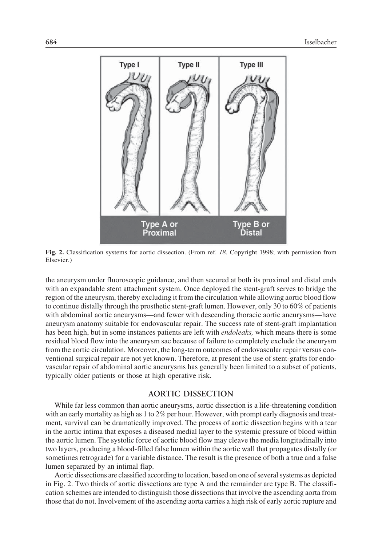

Fig. 2. Classification systems for aortic dissection. (From ref. 18. Copyright 1998; with permission from Elsevier.)

the aneurysm under fluoroscopic guidance, and then secured at both its proximal and distal ends with an expandable stent attachment system. Once deployed the stent-graft serves to bridge the region of the aneurysm, thereby excluding it from the circulation while allowing aortic blood flow to continue distally through the prosthetic stent-graft lumen. However, only 30 to 60% of patients with abdominal aortic aneurysms—and fewer with descending thoracic aortic aneurysms—have aneurysm anatomy suitable for endovascular repair. The success rate of stent-graft implantation has been high, but in some instances patients are left with *endoleaks*, which means there is some residual blood flow into the aneurysm sac because of failure to completely exclude the aneurysm from the aortic circulation. Moreover, the long-term outcomes of endovascular repair versus conventional surgical repair are not yet known. Therefore, at present the use of stent-grafts for endovascular repair of abdominal aortic aneurysms has generally been limited to a subset of patients, typically older patients or those at high operative risk.

#### **AORTIC DISSECTION**

While far less common than aortic aneurysms, aortic dissection is a life-threatening condition with an early mortality as high as 1 to 2% per hour. However, with prompt early diagnosis and treatment, survival can be dramatically improved. The process of aortic dissection begins with a tear in the aortic intima that exposes a diseased medial layer to the systemic pressure of blood within the aortic lumen. The systolic force of aortic blood flow may cleave the media longitudinally into two layers, producing a blood-filled false lumen within the aortic wall that propagates distally (or sometimes retrograde) for a variable distance. The result is the presence of both a true and a false lumen separated by an intimal flap.

Aortic dissections are classified according to location, based on one of several systems as depicted in Fig. 2. Two thirds of aortic dissections are type A and the remainder are type B. The classification schemes are intended to distinguish those dissections that involve the ascending aorta from those that do not. Involvement of the ascending aorta carries a high risk of early aortic rupture and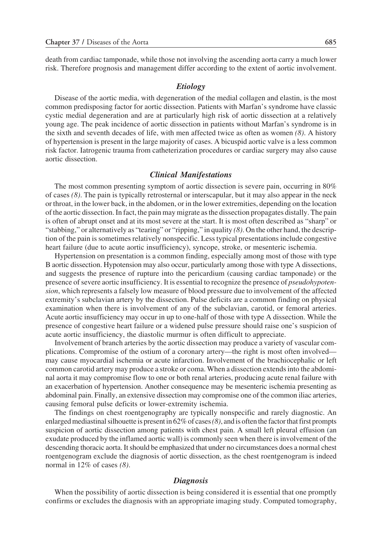death from cardiac tamponade, while those not involving the ascending aorta carry a much lower risk. Therefore prognosis and management differ according to the extent of aortic involvement.

#### Etiology

Disease of the aortic media, with degeneration of the medial collagen and elastin, is the most common predisposing factor for aortic dissection. Patients with Marfan's syndrome have classic cystic medial degeneration and are at particularly high risk of aortic dissection at a relatively young age. The peak incidence of aortic dissection in patients without Marfan's syndrome is in the sixth and seventh decades of life, with men affected twice as often as women  $(8)$ . A history of hypertension is present in the large majority of cases. A bicuspid aortic valve is a less common risk factor. Iatrogenic trauma from catheterization procedures or cardiac surgery may also cause aortic dissection.

#### Clinical Manifestations

The most common presenting symptom of aortic dissection is severe pain, occurring in 80% of cases  $(8)$ . The pain is typically retrosternal or interscapular, but it may also appear in the neck or throat, in the lower back, in the abdomen, or in the lower extremities, depending on the location of the aortic dissection. In fact, the pain may migrate as the dissection propagates distally. The pain is often of abrupt onset and at its most severe at the start. It is most often described as "sharp" or "stabbing," or alternatively as "tearing" or "ripping," in quality  $(8)$ . On the other hand, the description of the pain is sometimes relatively nonspecific. Less typical presentations include congestive heart failure (due to acute aortic insufficiency), syncope, stroke, or mesenteric ischemia.

Hypertension on presentation is a common finding, especially among most of those with type B aortic dissection. Hypotension may also occur, particularly among those with type A dissections, and suggests the presence of rupture into the pericardium (causing cardiac tamponade) or the presence of severe aortic insufficiency. It is essential to recognize the presence of *pseudohypoten*sion, which represents a falsely low measure of blood pressure due to involvement of the affected extremity's subclavian artery by the dissection. Pulse deficits are a common finding on physical examination when there is involvement of any of the subclavian, carotid, or femoral arteries. Acute aortic insufficiency may occur in up to one-half of those with type A dissection. While the presence of congestive heart failure or a widened pulse pressure should raise one's suspicion of acute aortic insufficiency, the diastolic murmur is often difficult to appreciate.

Involvement of branch arteries by the aortic dissection may produce a variety of vascular complications. Compromise of the ostium of a coronary artery—the right is most often involved may cause myocardial ischemia or acute infarction. Involvement of the brachiocephalic or left common carotid artery may produce a stroke or coma. When a dissection extends into the abdominal aorta it may compromise flow to one or both renal arteries, producing acute renal failure with an exacerbation of hypertension. Another consequence may be mesenteric ischemia presenting as abdominal pain. Finally, an extensive dissection may compromise one of the common iliac arteries, causing femoral pulse deficits or lower-extremity ischemia.

The findings on chest roentgenography are typically nonspecific and rarely diagnostic. An enlarged mediastinal silhouette is present in  $62\%$  of cases (8), and is often the factor that first prompts suspicion of aortic dissection among patients with chest pain. A small left pleural effusion (an exudate produced by the inflamed aortic wall) is commonly seen when there is involvement of the descending thoracic aorta. It should be emphasized that under no circumstances does a normal chest roentgenogram exclude the diagnosis of aortic dissection, as the chest roentgenogram is indeed normal in 12% of cases (8).

#### Diagnosis

When the possibility of aortic dissection is being considered it is essential that one promptly confirms or excludes the diagnosis with an appropriate imaging study. Computed tomography,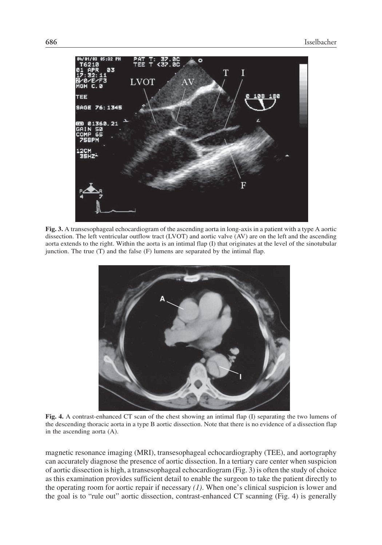

Fig. 3. A transesophageal echocardiogram of the ascending aorta in long-axis in a patient with a type A aortic dissection. The left ventricular outflow tract (LVOT) and aortic valve (AV) are on the left and the ascending aorta extends to the right. Within the aorta is an intimal flap (I) that originates at the level of the sinotubular junction. The true  $(T)$  and the false  $(F)$  lumens are separated by the intimal flap.



Fig. 4. A contrast-enhanced CT scan of the chest showing an intimal flap (I) separating the two lumens of the descending thoracic aorta in a type B aortic dissection. Note that there is no evidence of a dissection flap in the ascending aorta (A).

magnetic resonance imaging (MRI), transesophageal echocardiography (TEE), and aortography can accurately diagnose the presence of aortic dissection. In a tertiary care center when suspicion of aortic dissection is high, a transesophageal echocardiogram (Fig. 3) is often the study of choice as this examination provides sufficient detail to enable the surgeon to take the patient directly to the operating room for aortic repair if necessary  $(1)$ . When one's clinical suspicion is lower and the goal is to "rule out" aortic dissection, contrast-enhanced CT scanning (Fig. 4) is generally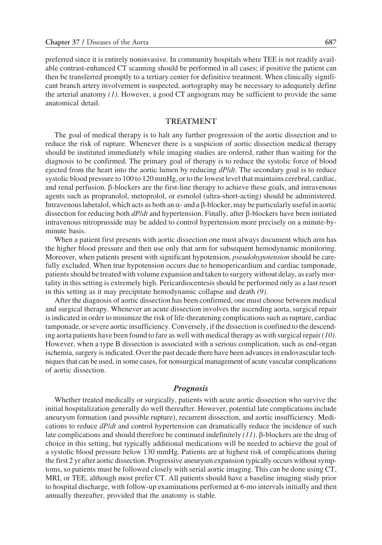preferred since it is entirely noninvasive. In community hospitals where TEE is not readily available contrast-enhanced CT scanning should be performed in all cases; if positive the patient can then be transferred promptly to a tertiary center for definitive treatment. When clinically significant branch artery involvement is suspected, aortography may be necessary to adequately define the arterial anatomy  $(1)$ . However, a good CT angiogram may be sufficient to provide the same anatomical detail.

# **TREATMENT**

The goal of medical therapy is to halt any further progression of the aortic dissection and to reduce the risk of rupture. Whenever there is a suspicion of aortic dissection medical therapy should be instituted immediately while imaging studies are ordered, rather than waiting for the diagnosis to be confirmed. The primary goal of therapy is to reduce the systolic force of blood ejected from the heart into the aortic lumen by reducing  $dP/dt$ . The secondary goal is to reduce systolic blood pressure to 100 to 120 mmHg, or to the lowest level that maintains cerebral, cardiac, and renal perfusion.  $\beta$ -blockers are the first-line therapy to achieve these goals, and intravenous agents such as propranolol, metoprolol, or esmolol (ultra-short-acting) should be administered. Intravenous labetalol, which acts as both an  $\alpha$ - and a  $\beta$ -blocker, may be particularly useful in aortic dissection for reducing both  $dP/dt$  and hypertension. Finally, after  $\beta$ -blockers have been initiated intravenous nitroprusside may be added to control hypertension more precisely on a minute-byminute basis.

When a patient first presents with aortic dissection one must always document which arm has the higher blood pressure and then use only that arm for subsequent hemodynamic monitoring. Moreover, when patients present with significant hypotension, *pseudohypotension* should be carefully excluded. When true hypotension occurs due to hemopericardium and cardiac tamponade, patients should be treated with volume expansion and taken to surgery without delay, as early mortality in this setting is extremely high. Pericardiocentesis should be performed only as a last resort in this setting as it may precipitate hemodynamic collapse and death (9).

After the diagnosis of aortic dissection has been confirmed, one must choose between medical and surgical therapy. Whenever an acute dissection involves the ascending aorta, surgical repair is indicated in order to minimize the risk of life-threatening complications such as rupture, cardiac tamponade, or severe aortic insufficiency. Conversely, if the dissection is confined to the descending aorta patients have been found to fare as well with medical therapy as with surgical repair  $(10)$ . However, when a type B dissection is associated with a serious complication, such as end-organ ischemia, surgery is indicated. Over the past decade there have been advances in endovascular techniques that can be used, in some cases, for nonsurgical management of acute vascular complications of aortic dissection.

#### Prognosis

Whether treated medically or surgically, patients with acute aortic dissection who survive the initial hospitalization generally do well thereafter. However, potential late complications include aneurysm formation (and possible rupture), recurrent dissection, and aortic insufficiency. Medications to reduce  $dP/dt$  and control hypertension can dramatically reduce the incidence of such late complications and should therefore be continued indefinitely  $(11)$ .  $\beta$ -blockers are the drug of choice in this setting, but typically additional medications will be needed to achieve the goal of a systolic blood pressure below 130 mmHg. Patients are at highest risk of complications during the first 2 yr after aortic dissection. Progressive aneurysm expansion typically occurs without symptoms, so patients must be followed closely with serial aortic imaging. This can be done using CT, MRI, or TEE, although most prefer CT. All patients should have a baseline imaging study prior to hospital discharge, with follow-up examinations performed at 6-mo intervals initially and then annually thereafter, provided that the anatomy is stable.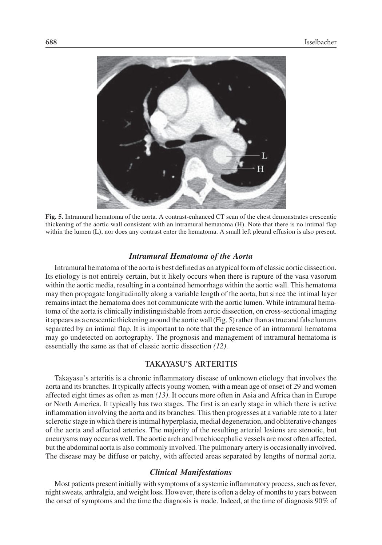

Fig. 5. Intramural hematoma of the aorta. A contrast-enhanced CT scan of the chest demonstrates crescentic thickening of the aortic wall consistent with an intramural hematoma (H). Note that there is no intimal flap within the lumen (L), nor does any contrast enter the hematoma. A small left pleural effusion is also present.

# Intramural Hematoma of the Aorta

Intramural hematoma of the aorta is best defined as an atypical form of classic aortic dissection. Its etiology is not entirely certain, but it likely occurs when there is rupture of the vasa vasorum within the aortic media, resulting in a contained hemorrhage within the aortic wall. This hematoma may then propagate longitudinally along a variable length of the aorta, but since the intimal layer remains intact the hematoma does not communicate with the aortic lumen. While intramural hematoma of the aorta is clinically indistinguishable from aortic dissection, on cross-sectional imaging it appears as a crescentic thickening around the aortic wall (Fig. 5) rather than as true and false lumens separated by an intimal flap. It is important to note that the presence of an intramural hematoma may go undetected on aortography. The prognosis and management of intramural hematoma is essentially the same as that of classic aortic dissection (12).

# **TAKAYASU'S ARTERITIS**

Takayasu's arteritis is a chronic inflammatory disease of unknown etiology that involves the aorta and its branches. It typically affects young women, with a mean age of onset of 29 and women affected eight times as often as men  $(13)$ . It occurs more often in Asia and Africa than in Europe or North America. It typically has two stages. The first is an early stage in which there is active inflammation involving the aorta and its branches. This then progresses at a variable rate to a later sclerotic stage in which there is intimal hyperplasia, medial degeneration, and obliterative changes of the aorta and affected arteries. The majority of the resulting arterial lesions are stenotic, but aneurysms may occur as well. The aortic arch and brachiocephalic vessels are most often affected, but the abdominal aorta is also commonly involved. The pulmonary artery is occasionally involved. The disease may be diffuse or patchy, with affected areas separated by lengths of normal aorta.

# Clinical Manifestations

Most patients present initially with symptoms of a systemic inflammatory process, such as fever, night sweats, arthralgia, and weight loss. However, there is often a delay of months to years between the onset of symptoms and the time the diagnosis is made. Indeed, at the time of diagnosis 90% of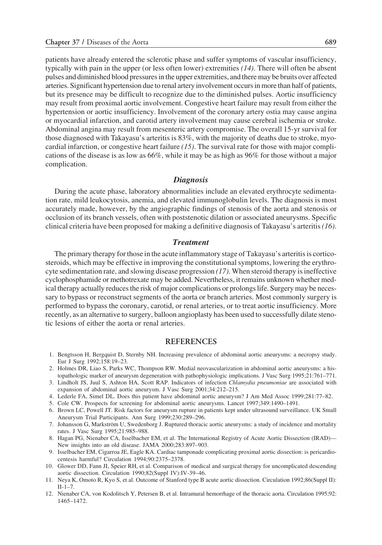complication.

patients have already entered the sclerotic phase and suffer symptoms of vascular insufficiency, typically with pain in the upper (or less often lower) extremities  $(14)$ . There will often be absent pulses and diminished blood pressures in the upper extremities, and there may be bruits over affected arteries. Significant hypertension due to renal artery involvement occurs in more than half of patients, but its presence may be difficult to recognize due to the diminished pulses. Aortic insufficiency may result from proximal aortic involvement. Congestive heart failure may result from either the hypertension or aortic insufficiency. Involvement of the coronary artery ostia may cause angina or myocardial infarction, and carotid artery involvement may cause cerebral ischemia or stroke. Abdominal angina may result from mesenteric artery compromise. The overall 15-yr survival for those diagnosed with Takayasu's arteritis is 83%, with the majority of deaths due to stroke, myocardial infarction, or congestive heart failure  $(15)$ . The survival rate for those with major complications of the disease is as low as 66%, while it may be as high as 96% for those without a major

#### Diagnosis

During the acute phase, laboratory abnormalities include an elevated erythrocyte sedimentation rate, mild leukocytosis, anemia, and elevated immunoglobulin levels. The diagnosis is most accurately made, however, by the angiographic findings of stenosis of the aorta and stenosis or occlusion of its branch vessels, often with poststenotic dilation or associated aneurysms. Specific clinical criteria have been proposed for making a definitive diagnosis of Takayasu's arteritis (16).

# **Treatment**

The primary therapy for those in the acute inflammatory stage of Takayasu's arteritis is corticosteroids, which may be effective in improving the constitutional symptoms, lowering the erythrocyte sedimentation rate, and slowing disease progression  $(17)$ . When steroid therapy is ineffective cyclophosphamide or methotrexate may be added. Nevertheless, it remains unknown whether medical therapy actually reduces the risk of major complications or prolongs life. Surgery may be necessary to bypass or reconstruct segments of the aorta or branch arteries. Most commonly surgery is performed to bypass the coronary, carotid, or renal arteries, or to treat aortic insufficiency. More recently, as an alternative to surgery, balloon angioplasty has been used to successfully dilate stenotic lesions of either the aorta or renal arteries.

#### **REFERENCES**

- 1. Bengtsson H, Bergquist D, Sternby NH. Increasing prevalence of abdominal aortic aneurysms: a necropsy study. Eur J Surg 1992;158:19–23.
- 2. Holmes DR, Liao S, Parks WC, Thompson RW. Medial neovascularization in abdominal aortic aneurysms: a histopathologic marker of aneurysm degeneration with pathophysiologic implications. J Vasc Surg 1995;21:761–771.
- 3. Lindholt JS, Juul S, Ashton HA, Scott RAP. Indicators of infection Chlamydia pneumoniae are associated with expansion of abdominal aortic aneurysm. J Vasc Surg 2001;34:212–215.
- 4. Lederle FA, Simel DL. Does this patient have abdominal aortic aneurysm? J Am Med Assoc 1999;281:77–82.
- 5. Cole CW. Prospects for screening for abdominal aortic aneurysms. Lancet 1997;349:1490–1491.
- 6. Brown LC, Powell JT. Risk factors for aneurysm rupture in patients kept under ultrasound surveillance. UK Small Aneurysm Trial Participants. Ann Surg 1999;230:289–296.
- 7. Johansson G, Markström U, Swedenborg J. Ruptured thoracic aortic aneurysms: a study of incidence and mortality rates. J Vasc Surg 1995;21:985–988.
- 8. Hagan PG, Nienaber CA, Isselbacher EM, et al. The International Registry of Acute Aortic Dissection (IRAD)— New insights into an old disease. JAMA 2000;283:897–903.
- 9. Isselbacher EM, Cigarroa JE, Eagle KA. Cardiac tamponade complicating proximal aortic dissection: is pericardiocentesis harmful? Circulation 1994;90:2375–2378.
- 10. Glower DD, Fann JI, Speier RH, et al. Comparison of medical and surgical therapy for uncomplicated descending aortic dissection. Circulation 1990;82(Suppl IV):IV-39–46.
- 11. Neya K, Omoto R, Kyo S, et al. Outcome of Stanford type B acute aortic dissection. Circulation 1992;86(Suppl II):  $II - 1 - 7$
- 12. Nienaber CA, von Kodolitsch Y, Petersen B, et al. Intramural hemorrhage of the thoracic aorta. Circulation 1995;92: 1465–1472.